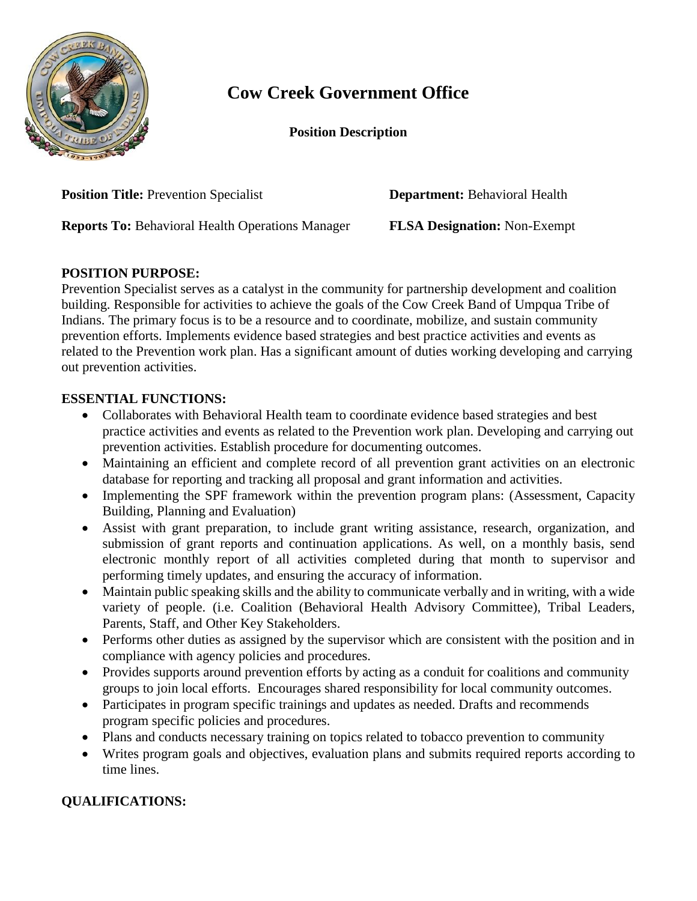

## **Cow Creek Government Office**

**Position Description**

**Position Title:** Prevention Specialist **Department:** Behavioral Health

**Reports To:** Behavioral Health Operations Manager **FLSA Designation:** Non-Exempt

## **POSITION PURPOSE:**

Prevention Specialist serves as a catalyst in the community for partnership development and coalition building. Responsible for activities to achieve the goals of the Cow Creek Band of Umpqua Tribe of Indians. The primary focus is to be a resource and to coordinate, mobilize, and sustain community prevention efforts. Implements evidence based strategies and best practice activities and events as related to the Prevention work plan. Has a significant amount of duties working developing and carrying out prevention activities.

## **ESSENTIAL FUNCTIONS:**

- Collaborates with Behavioral Health team to coordinate evidence based strategies and best practice activities and events as related to the Prevention work plan. Developing and carrying out prevention activities. Establish procedure for documenting outcomes.
- Maintaining an efficient and complete record of all prevention grant activities on an electronic database for reporting and tracking all proposal and grant information and activities.
- Implementing the SPF framework within the prevention program plans: (Assessment, Capacity Building, Planning and Evaluation)
- Assist with grant preparation, to include grant writing assistance, research, organization, and submission of grant reports and continuation applications. As well, on a monthly basis, send electronic monthly report of all activities completed during that month to supervisor and performing timely updates, and ensuring the accuracy of information.
- Maintain public speaking skills and the ability to communicate verbally and in writing, with a wide variety of people. (i.e. Coalition (Behavioral Health Advisory Committee), Tribal Leaders, Parents, Staff, and Other Key Stakeholders.
- Performs other duties as assigned by the supervisor which are consistent with the position and in compliance with agency policies and procedures.
- Provides supports around prevention efforts by acting as a conduit for coalitions and community groups to join local efforts. Encourages shared responsibility for local community outcomes.
- Participates in program specific trainings and updates as needed. Drafts and recommends program specific policies and procedures.
- Plans and conducts necessary training on topics related to tobacco prevention to community
- Writes program goals and objectives, evaluation plans and submits required reports according to time lines.

## **QUALIFICATIONS:**